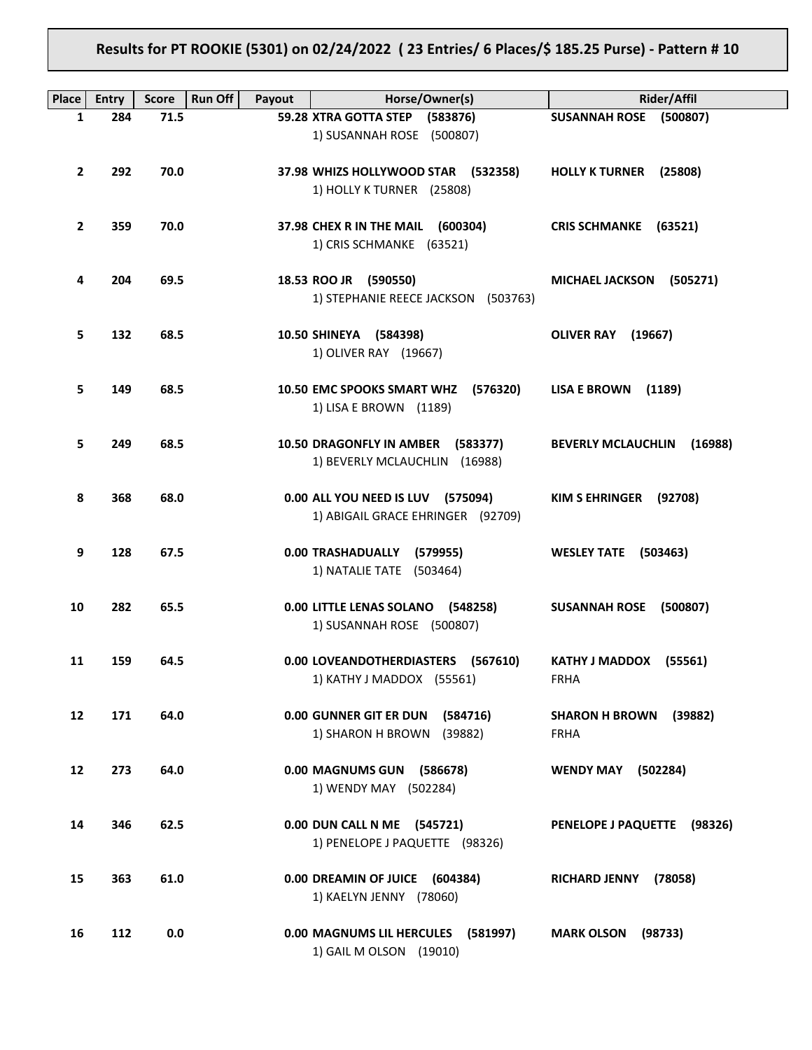# **Results for PT ROOKIE (5301) on 02/24/2022 ( 23 Entries/ 6 Places/\$ 185.25 Purse) - Pattern # 10**

| <b>Place</b>    | <b>Entry</b> | <b>Score</b> | <b>Run Off</b><br>Payout | Horse/Owner(s)                        | Rider/Affil                           |
|-----------------|--------------|--------------|--------------------------|---------------------------------------|---------------------------------------|
| 1               | 284          | 71.5         |                          | 59.28 XTRA GOTTA STEP<br>(583876)     | SUSANNAH ROSE (500807)                |
|                 |              |              |                          | 1) SUSANNAH ROSE (500807)             |                                       |
|                 |              |              |                          |                                       |                                       |
| $\mathbf{2}$    | 292          | 70.0         |                          | 37.98 WHIZS HOLLYWOOD STAR (532358)   | <b>HOLLY K TURNER</b><br>(25808)      |
|                 |              |              |                          | 1) HOLLY K TURNER (25808)             |                                       |
|                 |              |              |                          |                                       |                                       |
| 2               | 359          | 70.0         |                          | 37.98 CHEX R IN THE MAIL (600304)     | <b>CRIS SCHMANKE</b><br>(63521)       |
|                 |              |              |                          | 1) CRIS SCHMANKE (63521)              |                                       |
|                 |              |              |                          |                                       |                                       |
| 4               | 204          | 69.5         |                          | 18.53 ROO JR (590550)                 | <b>MICHAEL JACKSON</b><br>(505271)    |
|                 |              |              |                          | 1) STEPHANIE REECE JACKSON (503763)   |                                       |
|                 |              |              |                          |                                       |                                       |
| 5               | 132          | 68.5         |                          | 10.50 SHINEYA (584398)                | <b>OLIVER RAY (19667)</b>             |
|                 |              |              |                          | 1) OLIVER RAY (19667)                 |                                       |
|                 |              |              |                          |                                       |                                       |
| 5               | 149          | 68.5         |                          | 10.50 EMC SPOOKS SMART WHZ (576320)   | <b>LISA E BROWN</b><br>(1189)         |
|                 |              |              |                          | 1) LISA E BROWN (1189)                |                                       |
|                 |              |              |                          |                                       |                                       |
| 5               | 249          | 68.5         |                          | 10.50 DRAGONFLY IN AMBER (583377)     | <b>BEVERLY MCLAUCHLIN</b><br>(16988)  |
|                 |              |              |                          |                                       |                                       |
|                 |              |              |                          | 1) BEVERLY MCLAUCHLIN (16988)         |                                       |
|                 |              |              |                          |                                       |                                       |
| 8               | 368          | 68.0         |                          | 0.00 ALL YOU NEED IS LUV (575094)     | KIM S EHRINGER<br>(92708)             |
|                 |              |              |                          | 1) ABIGAIL GRACE EHRINGER (92709)     |                                       |
|                 |              |              |                          |                                       |                                       |
| 9               | 128          | 67.5         |                          | 0.00 TRASHADUALLY<br>(579955)         | <b>WESLEY TATE</b><br>(503463)        |
|                 |              |              |                          | 1) NATALIE TATE (503464)              |                                       |
|                 |              |              |                          |                                       |                                       |
| 10              | 282          | 65.5         |                          | 0.00 LITTLE LENAS SOLANO (548258)     | <b>SUSANNAH ROSE</b><br>(500807)      |
|                 |              |              |                          | 1) SUSANNAH ROSE (500807)             |                                       |
|                 |              |              |                          |                                       |                                       |
| 11              | 159          | 64.5         |                          | 0.00 LOVEANDOTHERDIASTERS (567610)    | KATHY J MADDOX (55561)                |
|                 |              |              |                          | 1) KATHY J MADDOX (55561)             | FRHA                                  |
|                 |              |              |                          |                                       |                                       |
| 12 <sup>2</sup> | 171          | 64.0         |                          | 0.00 GUNNER GIT ER DUN (584716)       | <b>SHARON H BROWN</b><br>(39882)      |
|                 |              |              |                          | 1) SHARON H BROWN (39882)             | <b>FRHA</b>                           |
|                 |              |              |                          |                                       |                                       |
| 12              | 273          | 64.0         |                          | 0.00 MAGNUMS GUN<br>(586678)          | <b>WENDY MAY (502284)</b>             |
|                 |              |              |                          | 1) WENDY MAY (502284)                 |                                       |
|                 |              |              |                          |                                       |                                       |
| 14              | 346          | 62.5         |                          | 0.00 DUN CALL N ME (545721)           | <b>PENELOPE J PAQUETTE</b><br>(98326) |
|                 |              |              |                          | 1) PENELOPE J PAQUETTE (98326)        |                                       |
|                 |              |              |                          |                                       |                                       |
| 15              | 363          | 61.0         |                          | 0.00 DREAMIN OF JUICE<br>(604384)     | <b>RICHARD JENNY</b><br>(78058)       |
|                 |              |              |                          | 1) KAELYN JENNY (78060)               |                                       |
|                 |              |              |                          |                                       |                                       |
|                 |              |              |                          |                                       |                                       |
| 16              | 112          | 0.0          |                          | 0.00 MAGNUMS LIL HERCULES<br>(581997) | <b>MARK OLSON</b><br>(98733)          |
|                 |              |              |                          | 1) GAIL M OLSON (19010)               |                                       |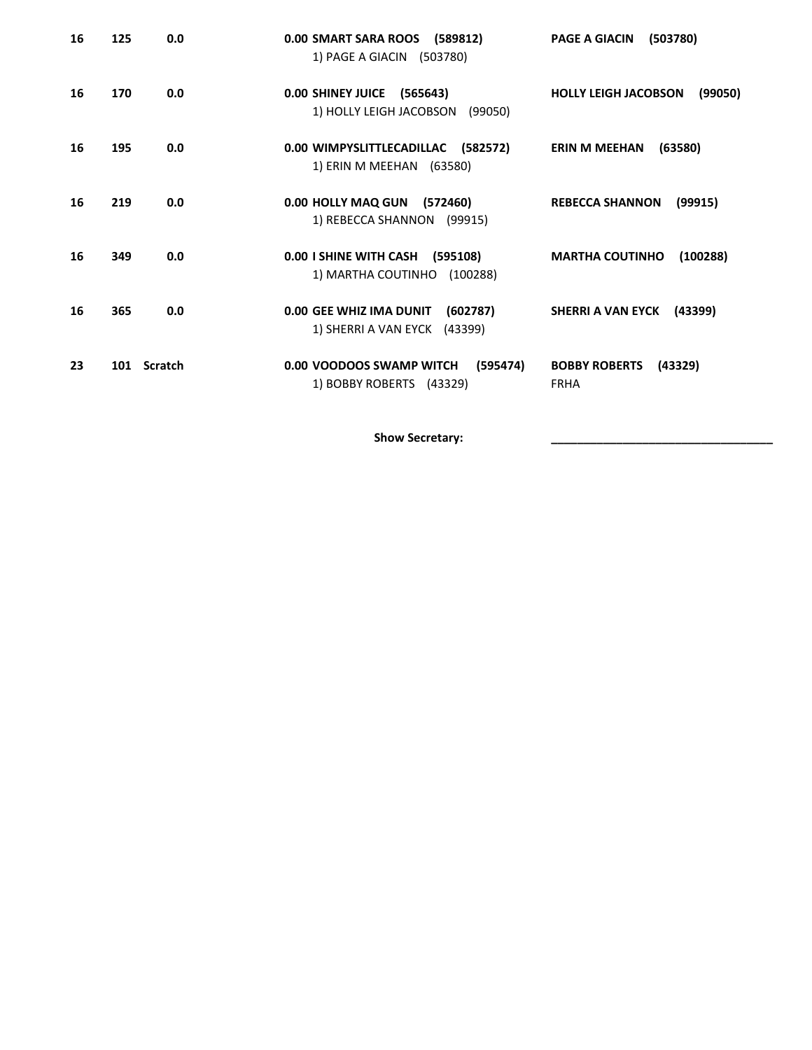| 16 | 125 | 0.0         | 0.00 SMART SARA ROOS (589812)<br>1) PAGE A GIACIN (503780)       | (503780)<br><b>PAGE A GIACIN</b>               |
|----|-----|-------------|------------------------------------------------------------------|------------------------------------------------|
| 16 | 170 | 0.0         | 0.00 SHINEY JUICE (565643)<br>1) HOLLY LEIGH JACOBSON (99050)    | <b>HOLLY LEIGH JACOBSON</b><br>(99050)         |
| 16 | 195 | 0.0         | 0.00 WIMPYSLITTLECADILLAC (582572)<br>1) ERIN M MEEHAN (63580)   | (63580)<br><b>ERIN M MEEHAN</b>                |
| 16 | 219 | 0.0         | 0.00 HOLLY MAQ GUN (572460)<br>1) REBECCA SHANNON (99915)        | (99915)<br><b>REBECCA SHANNON</b>              |
| 16 | 349 | 0.0         | 0.00 I SHINE WITH CASH (595108)<br>1) MARTHA COUTINHO (100288)   | <b>MARTHA COUTINHO</b><br>(100288)             |
| 16 | 365 | 0.0         | 0.00 GEE WHIZ IMA DUNIT (602787)<br>1) SHERRI A VAN EYCK (43399) | SHERRI A VAN EYCK (43399)                      |
| 23 |     | 101 Scratch | 0.00 VOODOOS SWAMP WITCH<br>(595474)<br>1) BOBBY ROBERTS (43329) | <b>BOBBY ROBERTS</b><br>(43329)<br><b>FRHA</b> |

Show Secretary: